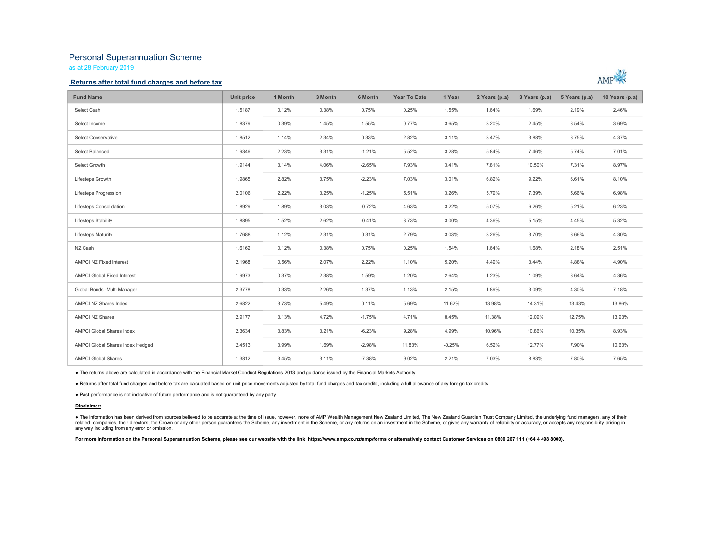# Personal Superannuation Scheme

as at 28 February 2019

### Returns after total fund charges and before tax



| <b>Fund Name</b>                 | Unit price | 1 Month | 3 Month | 6 Month  | <b>Year To Date</b> | 1 Year   | 2 Years (p.a) | 3 Years (p.a) | 5 Years (p.a) | 10 Years (p.a) |
|----------------------------------|------------|---------|---------|----------|---------------------|----------|---------------|---------------|---------------|----------------|
| Select Cash                      | 1.5187     | 0.12%   | 0.38%   | 0.75%    | 0.25%               | 1.55%    | 1.64%         | 1.69%         | 2.19%         | 2.46%          |
| Select Income                    | 1.8379     | 0.39%   | 1.45%   | 1.55%    | 0.77%               | 3.65%    | 3.20%         | 2.45%         | 3.54%         | 3.69%          |
| Select Conservative              | 1.8512     | 1.14%   | 2.34%   | 0.33%    | 2.82%               | 3.11%    | 3.47%         | 3.88%         | 3.75%         | 4.37%          |
| Select Balanced                  | 1.9346     | 2.23%   | 3.31%   | $-1.21%$ | 5.52%               | 3.28%    | 5.84%         | 7.46%         | 5.74%         | 7.01%          |
| Select Growth                    | 1.9144     | 3.14%   | 4.06%   | $-2.65%$ | 7.93%               | 3.41%    | 7.81%         | 10.50%        | 7.31%         | 8.97%          |
| Lifesteps Growth                 | 1.9865     | 2.82%   | 3.75%   | $-2.23%$ | 7.03%               | 3.01%    | 6.82%         | 9.22%         | 6.61%         | 8.10%          |
| Lifesteps Progression            | 2.0106     | 2.22%   | 3.25%   | $-1.25%$ | 5.51%               | 3.26%    | 5.79%         | 7.39%         | 5.66%         | 6.98%          |
| Lifesteps Consolidation          | 1.8929     | 1.89%   | 3.03%   | $-0.72%$ | 4.63%               | 3.22%    | 5.07%         | 6.26%         | 5.21%         | 6.23%          |
| Lifesteps Stability              | 1.8895     | 1.52%   | 2.62%   | $-0.41%$ | 3.73%               | 3.00%    | 4.36%         | 5.15%         | 4.45%         | 5.32%          |
| <b>Lifesteps Maturity</b>        | 1.7688     | 1.12%   | 2.31%   | 0.31%    | 2.79%               | 3.03%    | 3.26%         | 3.70%         | 3.66%         | 4.30%          |
| NZ Cash                          | 1.6162     | 0.12%   | 0.38%   | 0.75%    | 0.25%               | 1.54%    | 1.64%         | 1.68%         | 2.18%         | 2.51%          |
| <b>AMPCI NZ Fixed Interest</b>   | 2.1968     | 0.56%   | 2.07%   | 2.22%    | 1.10%               | 5.20%    | 4.49%         | 3.44%         | 4.88%         | 4.90%          |
| AMPCI Global Fixed Interest      | 1.9973     | 0.37%   | 2.38%   | 1.59%    | 1.20%               | 2.64%    | 1.23%         | 1.09%         | 3.64%         | 4.36%          |
| Global Bonds -Multi Manager      | 2.3778     | 0.33%   | 2.26%   | 1.37%    | 1.13%               | 2.15%    | 1.89%         | 3.09%         | 4.30%         | 7.18%          |
| AMPCI NZ Shares Index            | 2.6822     | 3.73%   | 5.49%   | 0.11%    | 5.69%               | 11.62%   | 13.98%        | 14.31%        | 13.43%        | 13.86%         |
| <b>AMPCI NZ Shares</b>           | 2.9177     | 3.13%   | 4.72%   | $-1.75%$ | 4.71%               | 8.45%    | 11.38%        | 12.09%        | 12.75%        | 13.93%         |
| AMPCI Global Shares Index        | 2.3634     | 3.83%   | 3.21%   | $-6.23%$ | 9.28%               | 4.99%    | 10.96%        | 10.86%        | 10.35%        | 8.93%          |
| AMPCI Global Shares Index Hedged | 2.4513     | 3.99%   | 1.69%   | $-2.98%$ | 11.83%              | $-0.25%$ | 6.52%         | 12.77%        | 7.90%         | 10.63%         |
| <b>AMPCI Global Shares</b>       | 1.3812     | 3.45%   | 3.11%   | $-7.38%$ | 9.02%               | 2.21%    | 7.03%         | 8.83%         | 7.80%         | 7.65%          |

● The returns above are calculated in accordance with the Financial Market Conduct Regulations 2013 and guidance issued by the Financial Markets Authority.<br>● Returns after total fund charges and before tax are calcuated b

#### Disclaimer:

● The information has been derived from sources believed to be accurate at the time of issue, however, none of AMP Wealth Management New Zealand Limited, The New Zealand Guardian Trust Company Limited, the underlying fund any way including from any error or omission.

For more information on the Personal Superannuation Scheme, please see our website with the link: https://www.amp.co.nz/amp/forms or alternatively contact Customer Services on 0800 267 111 (+64 4 498 8000).